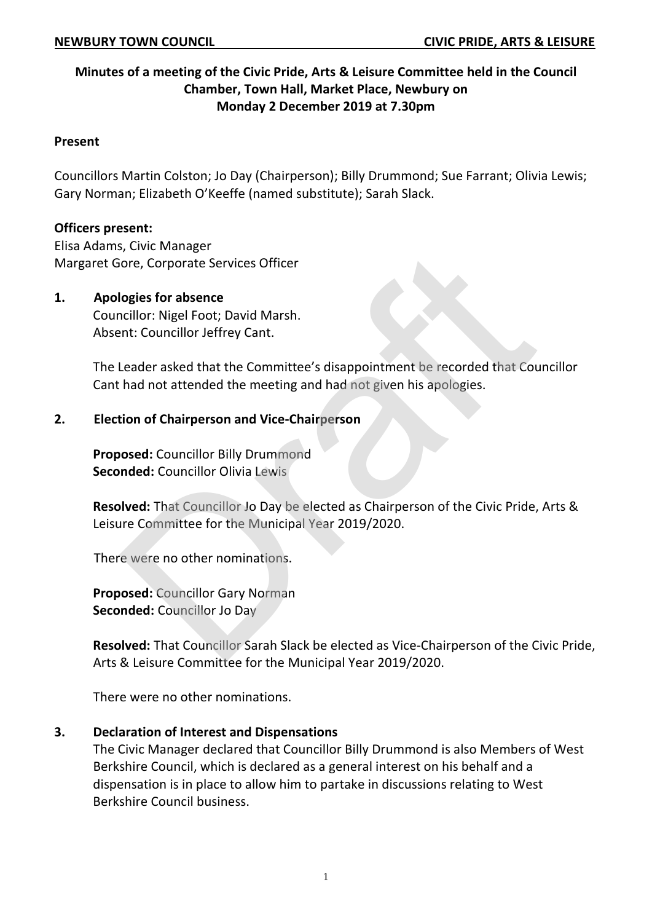# **Minutes of a meeting of the Civic Pride, Arts & Leisure Committee held in the Council Chamber, Town Hall, Market Place, Newbury on Monday 2 December 2019 at 7.30pm**

#### **Present**

Councillors Martin Colston; Jo Day (Chairperson); Billy Drummond; Sue Farrant; Olivia Lewis; Gary Norman; Elizabeth O'Keeffe (named substitute); Sarah Slack.

### **Officers present:**

Elisa Adams, Civic Manager Margaret Gore, Corporate Services Officer

### **1. Apologies for absence**

Councillor: Nigel Foot; David Marsh. Absent: Councillor Jeffrey Cant.

The Leader asked that the Committee's disappointment be recorded that Councillor Cant had not attended the meeting and had not given his apologies. ore, Corporate Services Officer<br>
logies for absence<br>
cillor: Nigel Foot; David Marsh.<br>
Int: Councillor Jeffrey Cant.<br>
Leader asked that the Committee's disappointment be recorded that Cou<br>
had not attended the meeting and

### **2. Election of Chairperson and Vice-Chairperson**

**Proposed:** Councillor Billy Drummond **Seconded:** Councillor Olivia Lewis

**Resolved:** That Councillor Jo Day be elected as Chairperson of the Civic Pride, Arts & Leisure Committee for the Municipal Year 2019/2020.

There were no other nominations.

**Proposed:** Councillor Gary Norman **Seconded:** Councillor Jo Day

**Resolved:** That Councillor Sarah Slack be elected as Vice-Chairperson of the Civic Pride, Arts & Leisure Committee for the Municipal Year 2019/2020.

There were no other nominations.

### **3. Declaration of Interest and Dispensations**

The Civic Manager declared that Councillor Billy Drummond is also Members of West Berkshire Council, which is declared as a general interest on his behalf and a dispensation is in place to allow him to partake in discussions relating to West Berkshire Council business.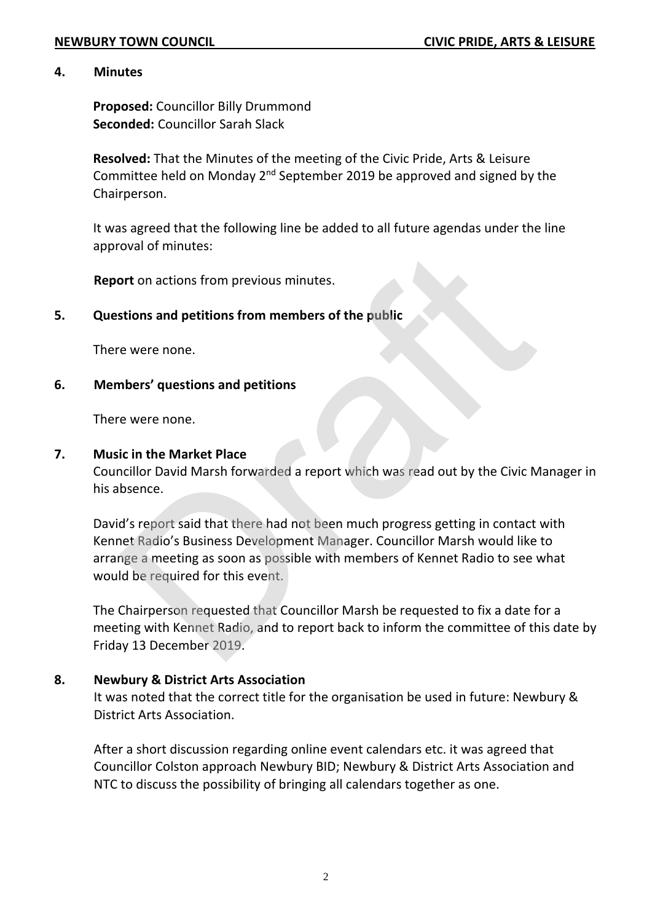#### **4. Minutes**

**Proposed:** Councillor Billy Drummond **Seconded:** Councillor Sarah Slack

**Resolved:** That the Minutes of the meeting of the Civic Pride, Arts & Leisure Committee held on Monday  $2^{nd}$  September 2019 be approved and signed by the Chairperson.

It was agreed that the following line be added to all future agendas under the line approval of minutes:

**Report** on actions from previous minutes.

## **5. Questions and petitions from members of the public**

There were none.

### **6. Members' questions and petitions**

There were none.

#### **7. Music in the Market Place**

Councillor David Marsh forwarded a report which was read out by the Civic Manager in his absence.

David's report said that there had not been much progress getting in contact with Kennet Radio's Business Development Manager. Councillor Marsh would like to arrange a meeting as soon as possible with members of Kennet Radio to see what would be required for this event. oval or inflictes.<br>
Stions and petitions from members of the public<br>
e were none.<br>
It is the Market Place<br>
evere none.<br>
It is the Market Place<br>
Cillor David Marsh forwarded a report which was read out by the Civic N<br>
beenc

The Chairperson requested that Councillor Marsh be requested to fix a date for a meeting with Kennet Radio, and to report back to inform the committee of this date by Friday 13 December 2019.

### **8. Newbury & District Arts Association**

It was noted that the correct title for the organisation be used in future: Newbury & District Arts Association.

After a short discussion regarding online event calendars etc. it was agreed that Councillor Colston approach Newbury BID; Newbury & District Arts Association and NTC to discuss the possibility of bringing all calendars together as one.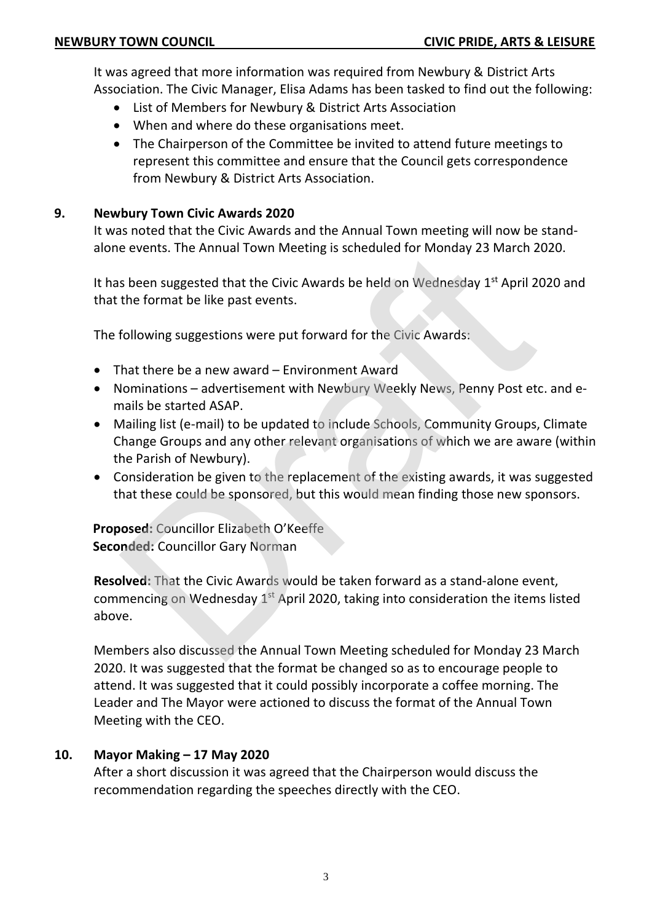It was agreed that more information was required from Newbury & District Arts Association. The Civic Manager, Elisa Adams has been tasked to find out the following:

- List of Members for Newbury & District Arts Association
- When and where do these organisations meet.
- The Chairperson of the Committee be invited to attend future meetings to represent this committee and ensure that the Council gets correspondence from Newbury & District Arts Association.

# **9. Newbury Town Civic Awards 2020**

It was noted that the Civic Awards and the Annual Town meeting will now be standalone events. The Annual Town Meeting is scheduled for Monday 23 March 2020.

It has been suggested that the Civic Awards be held on Wednesday  $1<sup>st</sup>$  April 2020 and that the format be like past events.

The following suggestions were put forward for the Civic Awards:

- That there be a new award Environment Award
- Nominations advertisement with Newbury Weekly News, Penny Post etc. and emails be started ASAP.
- Mailing list (e-mail) to be updated to include Schools, Community Groups, Climate Change Groups and any other relevant organisations of which we are aware (within the Parish of Newbury).
- Consideration be given to the replacement of the existing awards, it was suggested that these could be sponsored, but this would mean finding those new sponsors.

**Proposed:** Councillor Elizabeth O'Keeffe **Seconded:** Councillor Gary Norman

**Resolved:** That the Civic Awards would be taken forward as a stand-alone event, commencing on Wednesday  $1<sup>st</sup>$  April 2020, taking into consideration the items listed above. e events. The Annual Town Meeting is scheduled for Monday 23 March 2<br>s been suggested that the Civic Awards be held on Wednesday 1<sup>st</sup> April 2<br>the format be like past events.<br>following suggestions were put forward for the

Members also discussed the Annual Town Meeting scheduled for Monday 23 March 2020. It was suggested that the format be changed so as to encourage people to attend. It was suggested that it could possibly incorporate a coffee morning. The Leader and The Mayor were actioned to discuss the format of the Annual Town Meeting with the CEO.

# **10. Mayor Making – 17 May 2020**

After a short discussion it was agreed that the Chairperson would discuss the recommendation regarding the speeches directly with the CEO.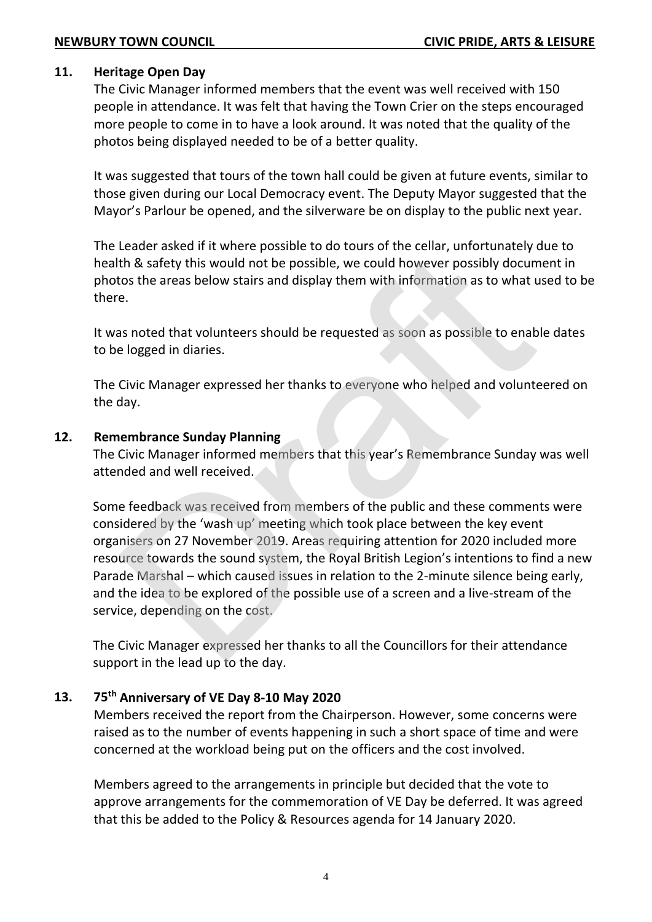### **11. Heritage Open Day**

The Civic Manager informed members that the event was well received with 150 people in attendance. It was felt that having the Town Crier on the steps encouraged more people to come in to have a look around. It was noted that the quality of the photos being displayed needed to be of a better quality.

It was suggested that tours of the town hall could be given at future events, similar to those given during our Local Democracy event. The Deputy Mayor suggested that the Mayor's Parlour be opened, and the silverware be on display to the public next year.

The Leader asked if it where possible to do tours of the cellar, unfortunately due to health & safety this would not be possible, we could however possibly document in photos the areas below stairs and display them with information as to what used to be there.

It was noted that volunteers should be requested as soon as possible to enable dates to be logged in diaries.

The Civic Manager expressed her thanks to everyone who helped and volunteered on the day.

## **12. Remembrance Sunday Planning**

The Civic Manager informed members that this year's Remembrance Sunday was well attended and well received.

Some feedback was received from members of the public and these comments were considered by the 'wash up' meeting which took place between the key event organisers on 27 November 2019. Areas requiring attention for 2020 included more resource towards the sound system, the Royal British Legion's intentions to find a new Parade Marshal – which caused issues in relation to the 2-minute silence being early, and the idea to be explored of the possible use of a screen and a live-stream of the service, depending on the cost. Exercit axes in it wirely possible co to to to to to to so to the easing, antionately the Safety this would not be possible, we could however possibly documptod to the areas below stairs and display them with information a

The Civic Manager expressed her thanks to all the Councillors for their attendance support in the lead up to the day.

# **13. 75th Anniversary of VE Day 8-10 May 2020**

Members received the report from the Chairperson. However, some concerns were raised as to the number of events happening in such a short space of time and were concerned at the workload being put on the officers and the cost involved.

Members agreed to the arrangements in principle but decided that the vote to approve arrangements for the commemoration of VE Day be deferred. It was agreed that this be added to the Policy & Resources agenda for 14 January 2020.